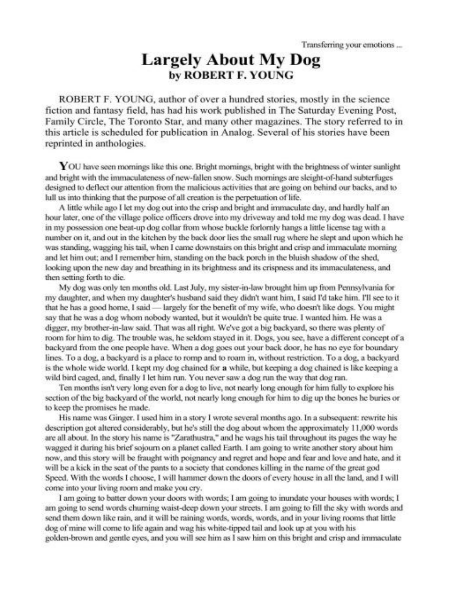## **Largely About My Dog** by ROBERT F. YOUNG

ROBERT F, YOUNG, author of over a hundred stories, mostly in the science fiction and fantasy field, has had his work published in The Saturday Evening Post, Family Circle, The Toronto Star, and many other magazines. The story referred to in this article is scheduled for publication in Analog. Several of his stories have been reprinted in anthologies.

YOU have seen mornings like this one. Bright mornings, bright with the brightness of winter sunlight and bright with the immaculateness of new-fallen snow. Such mornings are sleight-of-hand subterfuges designed to deflect our attention from the malicious activities that are going on behind our backs, and to lull us into thinking that the purpose of all creation is the perpetuation of life.

A little while ago I let my dog out into the crisp and bright and immaculate day, and hardly half an hour later, one of the village police officers drove into my driveway and told me my dog was dead. I have in my possession one beat-up dog collar from whose buckle forlomly hangs a little license tag with a number on it, and out in the kitchen by the back door lies the small rug where he slept and upon which he was standing, wagging his tail, when I came downstairs on this bright and crisp and immaculate morning and let him out; and I remember him, standing on the back porch in the bluish shadow of the shed, looking upon the new day and breathing in its brightness and its crispness and its immaculateness, and then setting forth to die.

My doe was only ten months old. Last July, my sister-in-law brought him up from Pennsylvania for my daughter, and when my daughter's husband said they didn't want him, I said I'd take him. I'll see to it that he has a good home. I said - largely for the benefit of my wife, who doesn't like dogs. You might say that he was a dog whom nobody wanted, but it wouldn't be quite true. I wanted him. He was a digger, my brother-in-law said. That was all right. We've got a big backyard, so there was plenty of room for him to dig. The trouble was, he seldom staved in it. Dogs, you see, have a different concept of a backyard from the one people have. When a dog goes out your back door, he has no eye for boundary lines. To a dog, a backyard is a place to romp and to roam in, without restriction. To a dog, a backyard is the whole wide world. I kept my dog chained for a while, but keeping a dog chained is like keeping a wild bird caged, and, finally I let him run. You never saw a dog run the way that dog ran.

Ten months isn't very long even for a dog to live, not nearly long enough for him fully to explore his section of the big backvard of the world, not nearly long enough for him to dig up the bones he buries or to keep the promises he made.

His name was Ginger. I used him in a story I wrote several months ago. In a subsequent: rewrite his description got altered considerably, but he's still the dog about whom the approximately 11,000 words are all about. In the story his name is "Zarathustra," and he wags his tail throughout its pages the way he wagged it during his brief sojourn on a planet called Earth. I am going to write another story about him now, and this story will be fraught with poignancy and regret and hope and fear and love and hate, and it will be a kick in the seat of the pants to a society that condones killing in the name of the great god Speed. With the words I choose, I will hammer down the doors of every house in all the land, and I will come into your living room and make you cry.

I am going to batter down your doors with words; I am going to inundate your houses with words; I am going to send words churning waist-deep down your streets. I am going to fill the sky with words and send them down like rain, and it will be raining words, words, words, and in your living rooms that little dog of mine will come to life again and wag his white-tipped tail and look up at you with his golden-brown and gentle eyes, and you will see him as I saw him on this bright and crisp and immaculate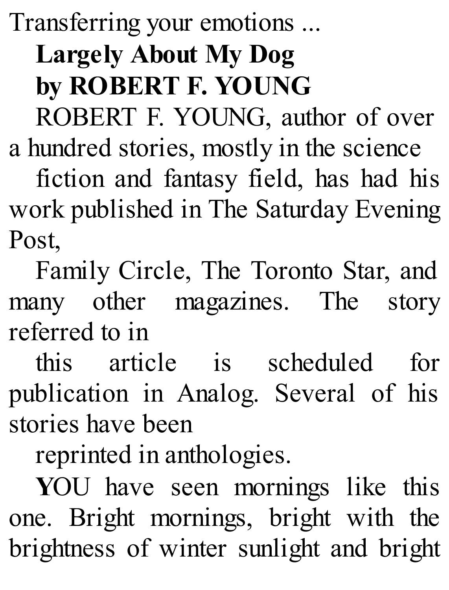Transferring your emotions ... **Largely About My Dog by ROBERT F. YOUNG** ROBERT F. YOUNG, author of over

a hundred stories, mostly in the science fiction and fantasy field, has had his work published in The Saturday Evening Post,

Family Circle, The Toronto Star, and many other magazines. The story referred to in

this article is scheduled for publication in Analog. Several of his stories have been

reprinted in anthologies.

**Y**OU have seen mornings like this one. Bright mornings, bright with the brightness of winter sunlight and bright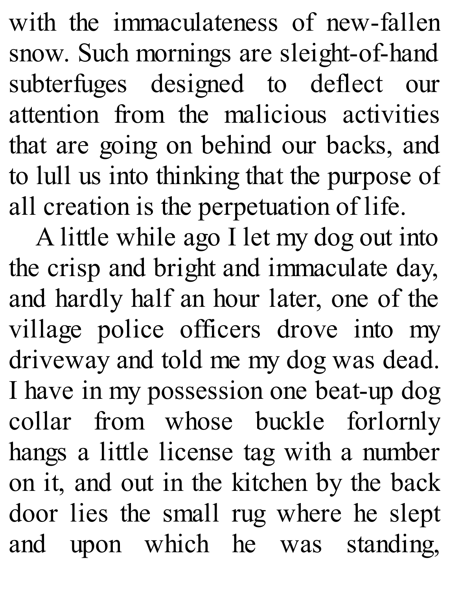with the immaculateness of new-fallen snow. Such mornings are sleight-of-hand subterfuges designed to deflect our attention from the malicious activities that are going on behind our backs, and to lull us into thinking that the purpose of all creation is the perpetuation of life.

A little while ago I let my dog out into the crisp and bright and immaculate day, and hardly half an hour later, one of the village police officers drove into my driveway and told me my dog was dead. I have in my possession one beat-up dog collar from whose buckle forlornly hangs a little license tag with a number on it, and out in the kitchen by the back door lies the small rug where he slept and upon which he was standing,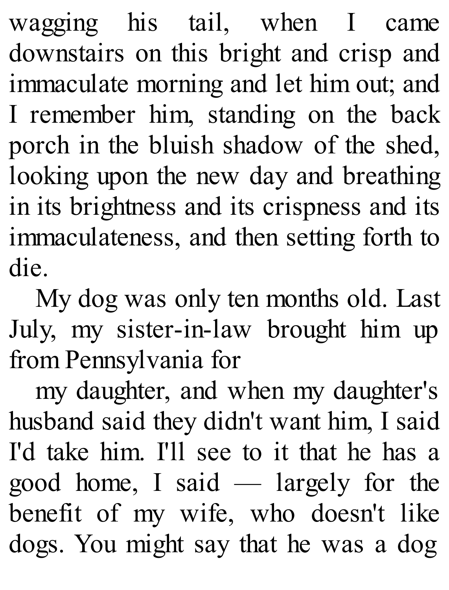wagging his tail, when I came downstairs on this bright and crisp and immaculate morning and let him out; and I remember him, standing on the back porch in the bluish shadow of the shed, looking upon the new day and breathing in its brightness and its crispness and its immaculateness, and then setting forth to die.

My dog was only ten months old. Last July, my sister-in-law brought him up from Pennsylvania for

my daughter, and when my daughter's husband said they didn't want him, I said I'd take him. I'll see to it that he has a good home, I said — largely for the benefit of my wife, who doesn't like dogs. You might say that he was a dog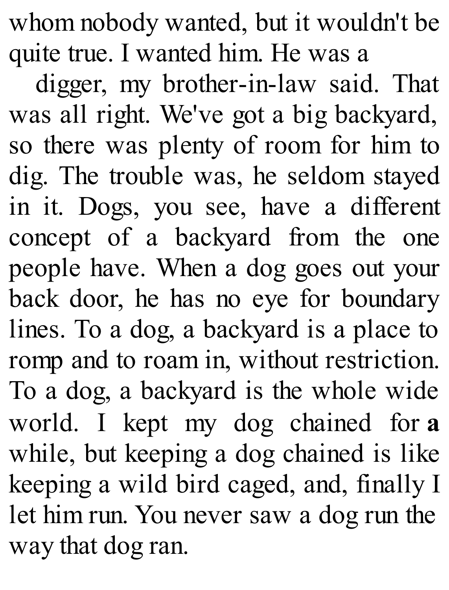whom nobody wanted, but it wouldn't be quite true. I wanted him. He was a

digger, my brother-in-law said. That was all right. We've got a big backyard, so there was plenty of room for him to dig. The trouble was, he seldom stayed in it. Dogs, you see, have a different concept of a backyard from the one people have. When a dog goes out your back door, he has no eye for boundary lines. To a dog, a backyard is a place to romp and to roam in, without restriction. To a dog, a backyard is the whole wide world. I kept my dog chained for **a** while, but keeping a dog chained is like keeping a wild bird caged, and, finally I let him run. You never saw a dog run the way that dog ran.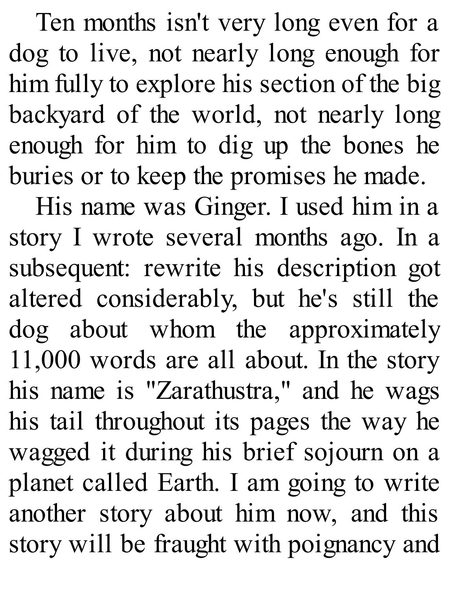Ten months isn't very long even for a dog to live, not nearly long enough for him fully to explore his section of the big backyard of the world, not nearly long enough for him to dig up the bones he buries or to keep the promises he made.

His name was Ginger. I used him in a story I wrote several months ago. In a subsequent: rewrite his description got altered considerably, but he's still the dog about whom the approximately 11,000 words are all about. In the story his name is "Zarathustra," and he wags his tail throughout its pages the way he wagged it during his brief sojourn on a planet called Earth. I am going to write another story about him now, and this story will be fraught with poignancy and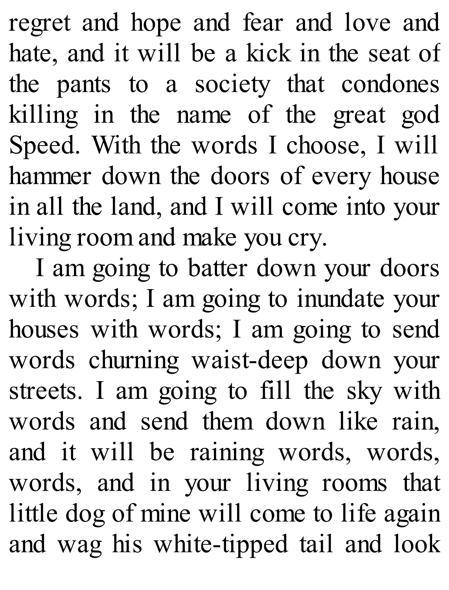regret and hope and fear and love and hate, and it will be a kick in the seat of the pants to a society that condones killing in the name of the great god Speed. With the words I choose, I will hammer down the doors of every house in all the land, and I will come into your living room and make you cry.

I am going to batter down your doors with words; I am going to inundate your houses with words; I am going to send words churning waist-deep down your streets. I am going to fill the sky with words and send them down like rain, and it will be raining words, words, words, and in your living rooms that little dog of mine will come to life again and wag his white-tipped tail and look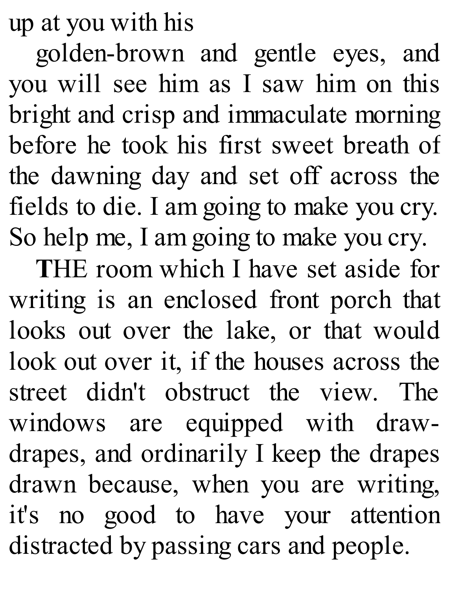up at you with his

golden-brown and gentle eyes, and you will see him as I saw him on this bright and crisp and immaculate morning before he took his first sweet breath of the dawning day and set off across the fields to die. I am going to make you cry. So help me, I am going to make you cry.

**T**HE room which I have set aside for writing is an enclosed front porch that looks out over the lake, or that would look out over it, if the houses across the street didn't obstruct the view. The windows are equipped with drawdrapes, and ordinarily I keep the drapes drawn because, when you are writing, it's no good to have your attention distracted by passing cars and people.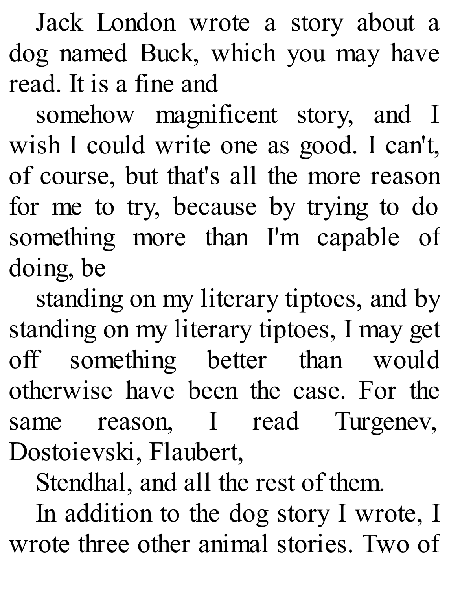Jack London wrote a story about a dog named Buck, which you may have read. It is a fine and

somehow magnificent story, and I wish I could write one as good. I can't, of course, but that's all the more reason for me to try, because by trying to do something more than I'm capable of doing, be

standing on my literary tiptoes, and by standing on my literary tiptoes, I may get off something better than would otherwise have been the case. For the same reason, I read Turgenev, Dostoievski, Flaubert,

Stendhal, and all the rest of them.

In addition to the dog story I wrote, I wrote three other animal stories. Two of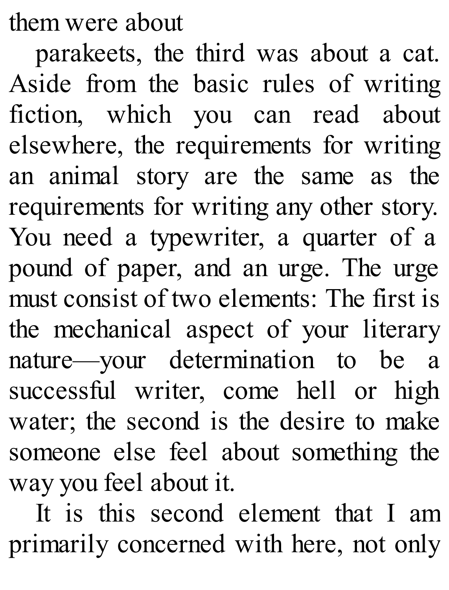them were about

parakeets, the third was about a cat. Aside from the basic rules of writing fiction, which you can read about elsewhere, the requirements for writing an animal story are the same as the requirements for writing any other story. You need a typewriter, a quarter of a pound of paper, and an urge. The urge must consist of two elements: The first is the mechanical aspect of your literary nature—your determination to be a successful writer, come hell or high water; the second is the desire to make someone else feel about something the way you feel about it.

It is this second element that I am primarily concerned with here, not only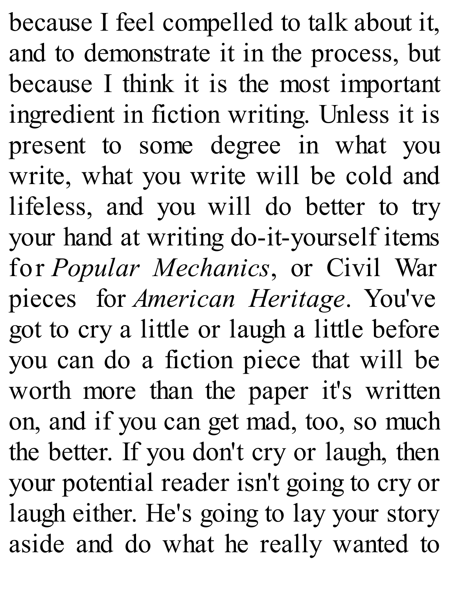because I feel compelled to talk about it, and to demonstrate it in the process, but because I think it is the most important ingredient in fiction writing. Unless it is present to some degree in what you write, what you write will be cold and lifeless, and you will do better to try your hand at writing do-it-yourself items for *Popular Mechanics*, or Civil War pieces for *American Heritage*. You've got to cry a little or laugh a little before you can do a fiction piece that will be worth more than the paper it's written on, and if you can get mad, too, so much the better. If you don't cry or laugh, then your potential reader isn't going to cry or laugh either. He's going to lay your story aside and do what he really wanted to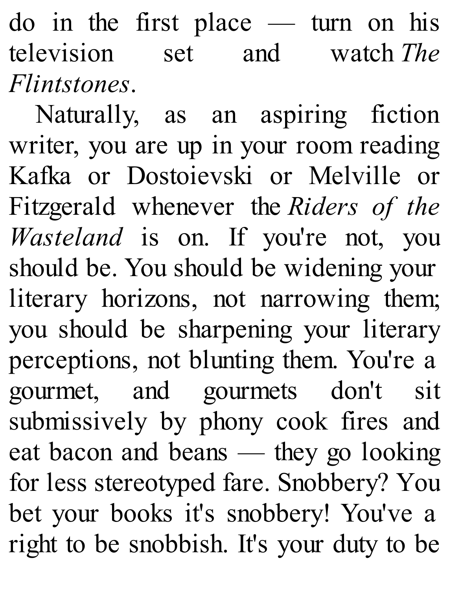do in the first place — turn on his television set and watch *The Flintstones*.

Naturally, as an aspiring fiction writer, you are up in your room reading Kafka or Dostoievski or Melville or Fitzgerald whenever the *Riders of the Wasteland* is on. If you're not, you should be. You should be widening your literary horizons, not narrowing them; you should be sharpening your literary perceptions, not blunting them. You're a gourmet, and gourmets don't sit submissively by phony cook fires and eat bacon and beans — they go looking for less stereotyped fare. Snobbery? You bet your books it's snobbery! You've a right to be snobbish. It's your duty to be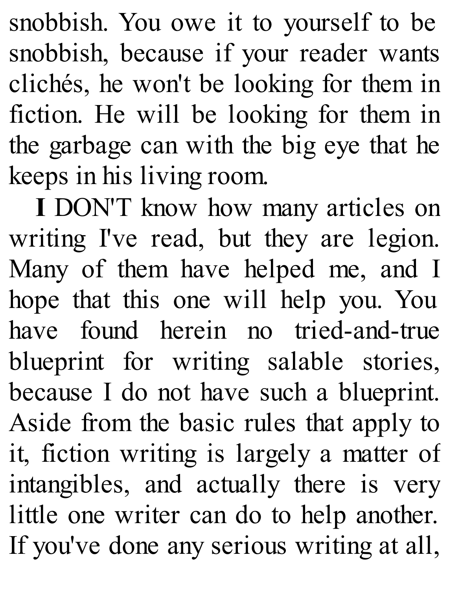snobbish. You owe it to yourself to be snobbish, because if your reader wants clichés, he won't be looking for them in fiction. He will be looking for them in the garbage can with the big eye that he keeps in his living room.

**I** DON'T know how many articles on writing I've read, but they are legion. Many of them have helped me, and I hope that this one will help you. You have found herein no tried-and-true blueprint for writing salable stories, because I do not have such a blueprint. Aside from the basic rules that apply to it, fiction writing is largely a matter of intangibles, and actually there is very little one writer can do to help another. If you've done any serious writing at all,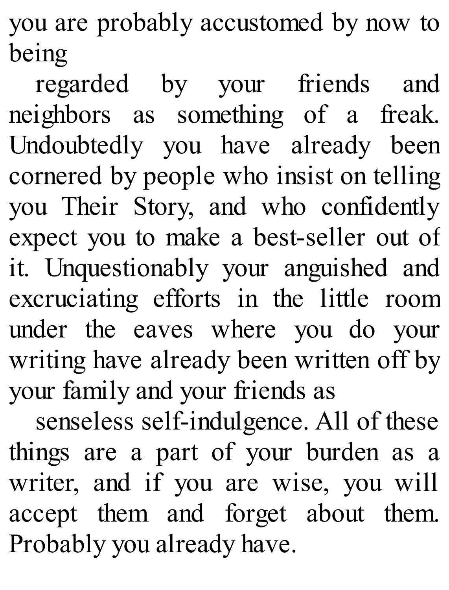you are probably accustomed by now to being

regarded by your friends and neighbors as something of a freak. Undoubtedly you have already been cornered by people who insist on telling you Their Story, and who confidently expect you to make a best-seller out of it. Unquestionably your anguished and excruciating efforts in the little room under the eaves where you do your writing have already been written off by your family and your friends as

senseless self-indulgence. All of these things are a part of your burden as a writer, and if you are wise, you will accept them and forget about them. Probably you already have.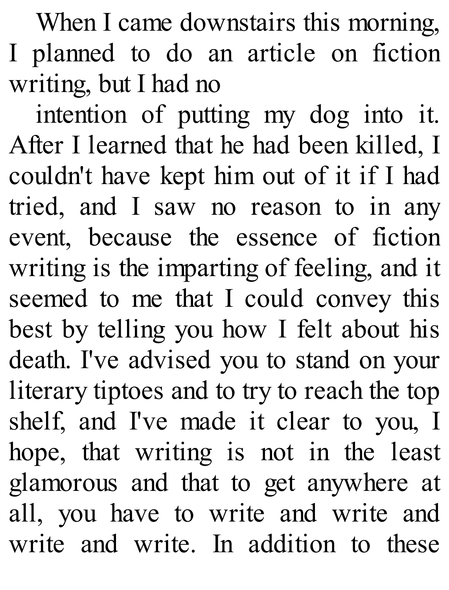When I came downstairs this morning, I planned to do an article on fiction writing, but I had no

intention of putting my dog into it. After I learned that he had been killed, I couldn't have kept him out of it if I had tried, and I saw no reason to in any event, because the essence of fiction writing is the imparting of feeling, and it seemed to me that I could convey this best by telling you how I felt about his death. I've advised you to stand on your literary tiptoes and to try to reach the top shelf, and I've made it clear to you, I hope, that writing is not in the least glamorous and that to get anywhere at all, you have to write and write and write and write. In addition to these